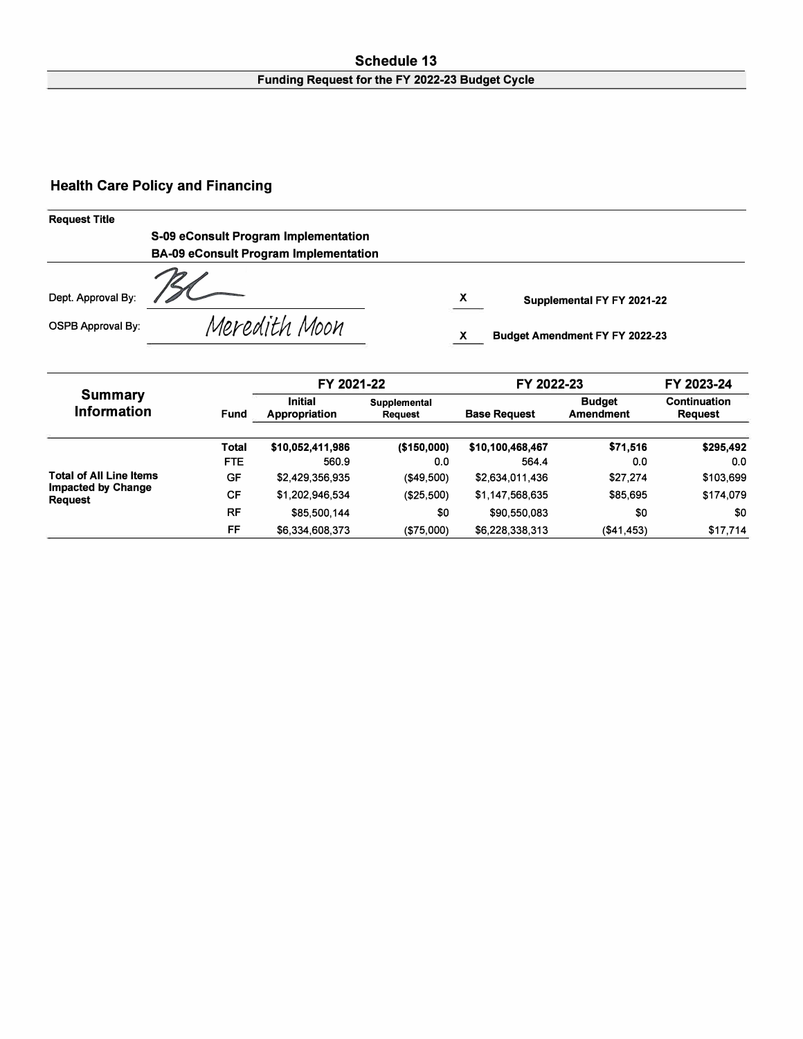#### **Schedule 13 Funding Request for the FY 2022-23 Budget Cycle**

#### **Health Care Policy and Financing**

#### **Request Title**

**S-09 eConsult Program Implementation BA-09 eConsult Program Implementation** 

Meredith Moon

Dept. Approval By:

OSPB Approval By:

**X Supplemental FY FY 2021-22** 

**X Budget Amendment FY FY 2022-23** 

|                                      |            | FY 2021-22                      |                         |                     | FY 2022-23                 |                                |  |  |  |
|--------------------------------------|------------|---------------------------------|-------------------------|---------------------|----------------------------|--------------------------------|--|--|--|
| <b>Summary</b><br><b>Information</b> | Fund       | <b>Initial</b><br>Appropriation | Supplemental<br>Request | <b>Base Request</b> | <b>Budget</b><br>Amendment | <b>Continuation</b><br>Request |  |  |  |
|                                      | Total      | \$10,052,411,986                | (\$150,000)             | \$10,100,468,467    | \$71,516                   | \$295,492                      |  |  |  |
|                                      | <b>FTE</b> | 560.9                           | 0.0                     | 564.4               | 0.0                        | 0.0                            |  |  |  |
| <b>Total of All Line Items</b>       | GF         | \$2,429,356,935                 | (\$49,500)              | \$2,634,011,436     | \$27,274                   | \$103,699                      |  |  |  |
| Impacted by Change<br><b>Request</b> | СF         | \$1,202,946,534                 | (\$25,500)              | \$1,147,568,635     | \$85,695                   | \$174,079                      |  |  |  |
|                                      | RF         | \$85,500,144                    | \$0                     | \$90,550,083        | \$0                        | \$0                            |  |  |  |
|                                      | FF         | \$6,334,608,373                 | (\$75,000)              | \$6,228,338,313     | (\$41,453)                 | \$17,714                       |  |  |  |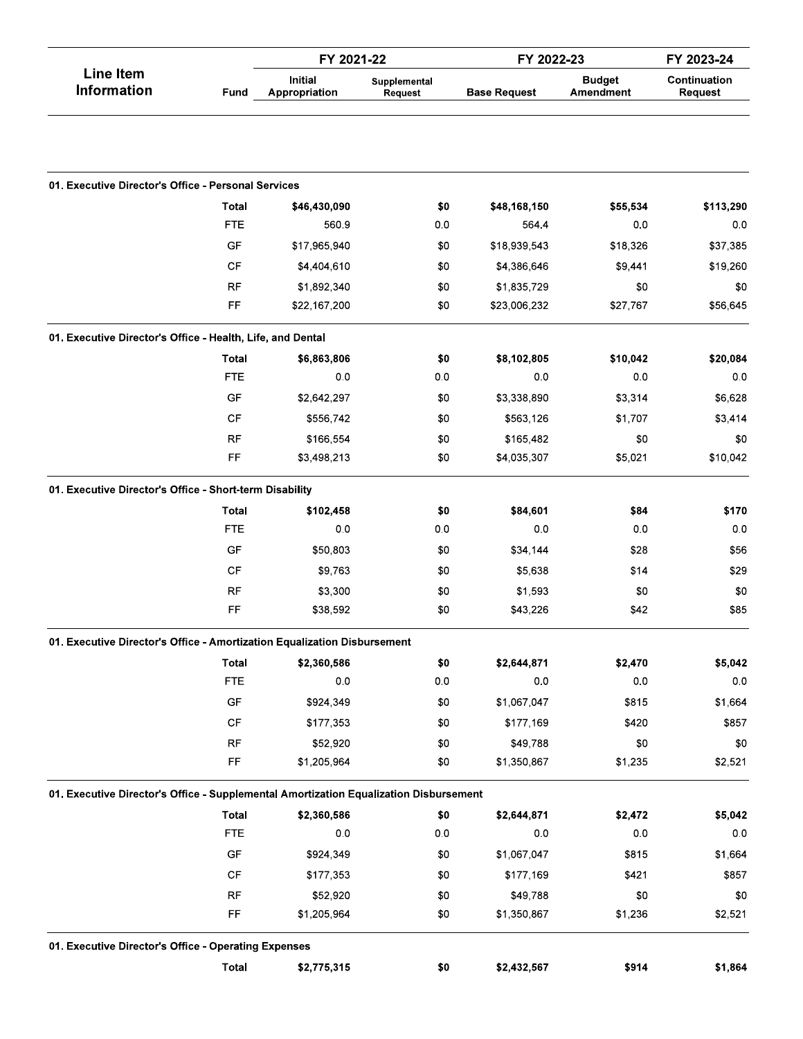|                                                                                       |                        | FY 2021-22                      |                         | FY 2022-23          |                            | FY 2023-24              |  |
|---------------------------------------------------------------------------------------|------------------------|---------------------------------|-------------------------|---------------------|----------------------------|-------------------------|--|
| <b>Line Item</b><br><b>Information</b>                                                | Fund                   | <b>Initial</b><br>Appropriation | Supplemental<br>Request | <b>Base Request</b> | <b>Budget</b><br>Amendment | Continuation<br>Request |  |
|                                                                                       |                        |                                 |                         |                     |                            |                         |  |
| 01. Executive Director's Office - Personal Services                                   |                        |                                 |                         |                     |                            |                         |  |
|                                                                                       | <b>Total</b>           | \$46,430,090                    | \$0                     | \$48,168,150        | \$55,534                   | \$113,290               |  |
|                                                                                       | <b>FTE</b>             | 560.9                           | 0.0                     | 5644                | 0.0                        | 0.0                     |  |
|                                                                                       | GF                     | \$17,965,940                    | \$0                     | \$18,939,543        | \$18,326                   | \$37,385                |  |
|                                                                                       | CF                     | \$4,404,610                     | \$0                     | \$4,386,646         | \$9,441                    | \$19,260                |  |
|                                                                                       | <b>RF</b>              | \$1,892,340                     | \$0                     | \$1,835,729         | \$0                        | \$0                     |  |
|                                                                                       | FF                     | \$22,167,200                    | \$0                     | \$23,006,232        | \$27,767                   | \$56,645                |  |
| 01. Executive Director's Office - Health, Life, and Dental                            |                        |                                 |                         |                     |                            |                         |  |
|                                                                                       | Total                  | \$6,863,806                     | \$0                     | \$8,102,805         | \$10,042                   | \$20,084                |  |
|                                                                                       | <b>FTE</b>             | 0 <sub>0</sub>                  | 0.0                     | 0.0                 | 0.0                        | 0.0                     |  |
|                                                                                       | GF                     | \$2,642,297                     | \$0                     | \$3,338,890         | \$3,314                    | \$6,628                 |  |
|                                                                                       | CF                     | \$556,742                       | \$0                     | \$563,126           | \$1,707                    | \$3,414                 |  |
|                                                                                       | <b>RF</b>              | \$166,554                       | \$0                     | \$165,482           | \$0                        | \$0                     |  |
|                                                                                       | FF                     | \$3,498,213                     | \$0                     | \$4,035,307         | \$5,021                    | \$10,042                |  |
| 01. Executive Director's Office - Short-term Disability                               |                        |                                 |                         |                     |                            |                         |  |
|                                                                                       | Total                  | \$102,458                       | \$0                     | \$84,601            | \$84                       | \$170                   |  |
|                                                                                       | <b>FTE</b>             | 0.0                             | 0.0                     | 0.0                 | 0.0                        | 0.0                     |  |
|                                                                                       | GF                     | \$50,803                        | \$0                     | \$34,144            | \$28                       | \$56                    |  |
|                                                                                       | CF                     | \$9,763                         | \$0                     | \$5,638             | \$14                       | \$29                    |  |
|                                                                                       | <b>RF</b>              | \$3,300                         | \$0                     | \$1,593             | \$0                        | \$0                     |  |
|                                                                                       | FF                     | \$38,592                        | \$0                     | \$43,226            | \$42                       | \$85                    |  |
| 01. Executive Director's Office - Amortization Equalization Disbursement              |                        |                                 |                         |                     |                            |                         |  |
|                                                                                       | <b>Total</b>           | \$2,360,586                     | \$0                     | \$2,644,871         | \$2,470                    | \$5,042                 |  |
|                                                                                       | <b>FTE</b>             | 0.0                             | 0.0                     | 0.0                 | 0.0                        | $0.0\,$                 |  |
|                                                                                       | GF                     | \$924,349                       | \$0                     | \$1,067,047         | \$815                      | \$1,664                 |  |
|                                                                                       | $\mathsf{C}\mathsf{F}$ | \$177,353                       | \$0                     | \$177,169           | \$420                      | \$857                   |  |
|                                                                                       | <b>RF</b>              | \$52,920                        | \$0                     | \$49,788            | \$0                        | \$0                     |  |
|                                                                                       | FF                     | \$1,205,964                     | \$0                     | \$1,350,867         | \$1,235                    | \$2,521                 |  |
| 01. Executive Director's Office - Supplemental Amortization Equalization Disbursement |                        |                                 |                         |                     |                            |                         |  |
|                                                                                       | Total                  | \$2,360,586                     | \$0                     | \$2,644,871         | \$2,472                    | \$5,042                 |  |
|                                                                                       | <b>FTE</b>             | 0.0                             | 0.0                     | 0.0                 | 0.0                        | 0.0                     |  |
|                                                                                       | GF                     | \$924,349                       | \$0                     | \$1,067,047         | \$815                      | \$1,664                 |  |
|                                                                                       | CF                     | \$177,353                       | \$0                     | \$177,169           | \$421                      | \$857                   |  |
|                                                                                       | RF                     | \$52,920                        | \$0                     | \$49,788            | \$0                        | \$0                     |  |
|                                                                                       | FF                     | \$1,205,964                     | \$0                     | \$1,350,867         | \$1,236                    | \$2,521                 |  |
| 01. Executive Director's Office - Operating Expenses                                  |                        |                                 |                         |                     |                            |                         |  |
|                                                                                       | <b>Total</b>           | \$2,775,315                     | \$0                     | \$2,432,567         | \$914                      | \$1,864                 |  |
|                                                                                       |                        |                                 |                         |                     |                            |                         |  |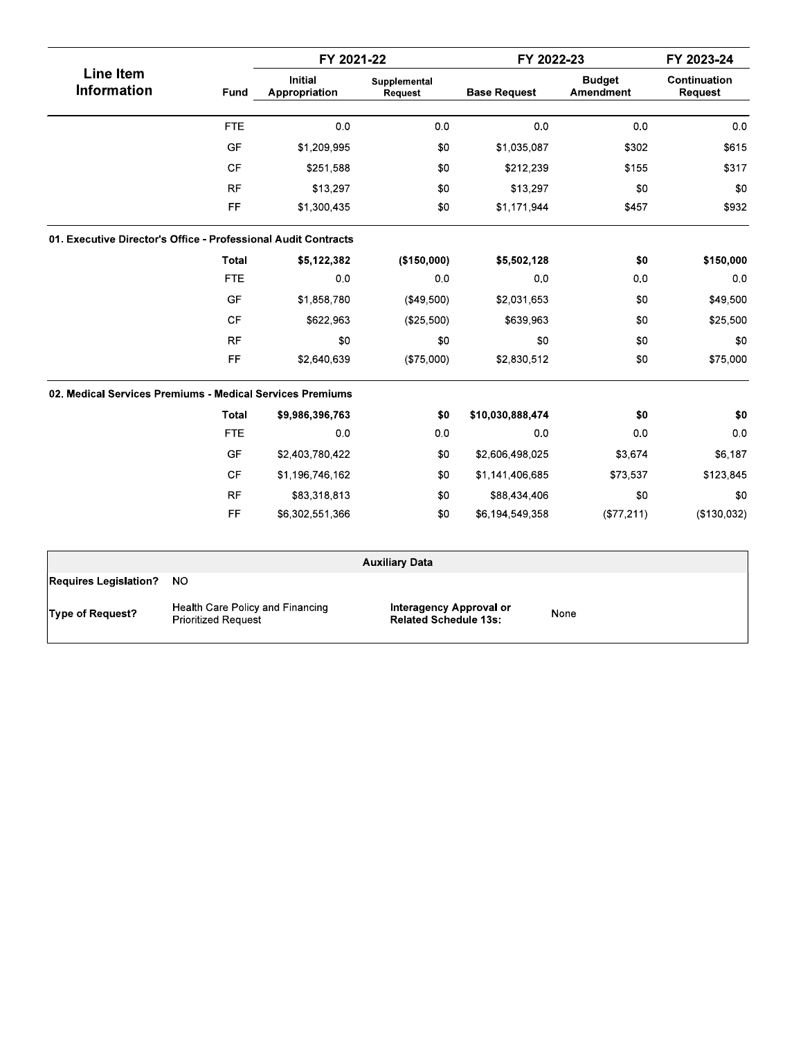|                                                                |            | FY 2021-22                      |                         | FY 2022-23          |                            | FY 2023-24              |
|----------------------------------------------------------------|------------|---------------------------------|-------------------------|---------------------|----------------------------|-------------------------|
| <b>Line Item</b><br><b>Information</b>                         | Fund       | <b>Initial</b><br>Appropriation | Supplemental<br>Request | <b>Base Request</b> | <b>Budget</b><br>Amendment | Continuation<br>Request |
|                                                                | <b>FTE</b> | 0 <sub>0</sub>                  | 0 <sub>0</sub>          | 0.0                 | 0.0                        | 0 <sub>0</sub>          |
|                                                                | <b>GF</b>  | \$1,209,995                     | \$0                     | \$1,035,087         | \$302                      | \$615                   |
|                                                                | <b>CF</b>  | \$251,588                       | \$0                     | \$212,239           | \$155                      | \$317                   |
|                                                                | <b>RF</b>  | \$13,297                        | \$0                     | \$13,297            | \$0                        | \$0                     |
|                                                                | FF         | \$1,300,435                     | \$0                     | \$1,171,944         | \$457                      | \$932                   |
| 01. Executive Director's Office - Professional Audit Contracts |            |                                 |                         |                     |                            |                         |
|                                                                | Total      | \$5,122,382                     | (\$150,000)             | \$5,502,128         | \$0                        | \$150,000               |
|                                                                | <b>FTE</b> | 0 <sub>0</sub>                  | 0 <sub>0</sub>          | 0.0                 | 0.0                        | 0.0                     |
|                                                                | GF         | \$1,858,780                     | (\$49,500)              | \$2,031,653         | \$0                        | \$49,500                |
|                                                                | CF         | \$622,963                       | (\$25,500)              | \$639,963           | \$0                        | \$25,500                |
|                                                                | <b>RF</b>  | \$0                             | \$0                     | \$0                 | \$0                        | \$0                     |
|                                                                | FF         | \$2,640,639                     | (\$75,000)              | \$2,830,512         | \$0                        | \$75,000                |
| 02. Medical Services Premiums - Medical Services Premiums      |            |                                 |                         |                     |                            |                         |
|                                                                | Total      | \$9,986,396,763                 | \$0                     | \$10,030,888,474    | \$0                        | \$0                     |
|                                                                | <b>FTE</b> | 0.0                             | 0 <sub>0</sub>          | 0 <sub>0</sub>      | 0.0                        | 0.0                     |
|                                                                | GF         | \$2,403,780,422                 | \$0                     | \$2,606,498,025     | \$3,674                    | \$6,187                 |
|                                                                | <b>CF</b>  | \$1,196,746,162                 | \$0                     | \$1,141,406,685     | \$73,537                   | \$123,845               |
|                                                                | RF         | \$83,318,813                    | \$0                     | \$88,434,406        | \$0                        | \$0                     |
|                                                                | FF         | \$6,302,551,366                 | \$0                     | \$6,194,549,358     | (\$77,211)                 | (\$130,032)             |
|                                                                |            |                                 | <b>Auxiliary Data</b>   |                     |                            |                         |
| <b>Requires Legislation?</b><br><b>NO</b>                      |            |                                 |                         |                     |                            |                         |

Type of Request?

Health Care Policy and Financing<br>Prioritized Request

Interagency Approval or<br>Related Schedule 13s:

None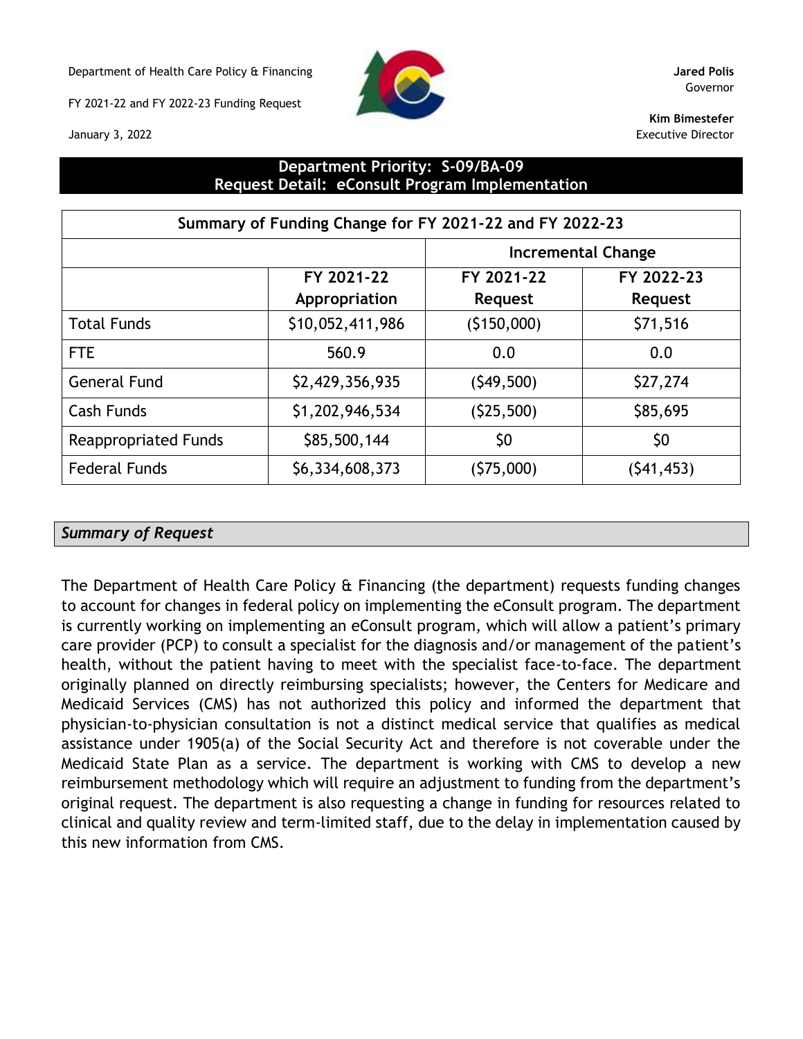Department of Health Care Policy & Financing **Jared Polis**

FY 2021-22 and FY 2022-23 Funding Request



Governor

**Kim Bimestefer** Executive Director

January 3, 2022

### **Department Priority: S-09/BA-09 Request Detail: eConsult Program Implementation**

|                             | Summary of Funding Change for FY 2021-22 and FY 2022-23 |                |                |  |  |  |  |  |  |  |  |
|-----------------------------|---------------------------------------------------------|----------------|----------------|--|--|--|--|--|--|--|--|
| <b>Incremental Change</b>   |                                                         |                |                |  |  |  |  |  |  |  |  |
|                             | FY 2021-22                                              | FY 2021-22     | FY 2022-23     |  |  |  |  |  |  |  |  |
|                             | Appropriation                                           | <b>Request</b> | <b>Request</b> |  |  |  |  |  |  |  |  |
| <b>Total Funds</b>          | \$10,052,411,986                                        | (5150,000)     | \$71,516       |  |  |  |  |  |  |  |  |
| <b>FTE</b>                  | 560.9                                                   | 0.0            | 0.0            |  |  |  |  |  |  |  |  |
| <b>General Fund</b>         | \$2,429,356,935                                         | (549, 500)     | \$27,274       |  |  |  |  |  |  |  |  |
| <b>Cash Funds</b>           | \$1,202,946,534                                         | (525,500)      | \$85,695       |  |  |  |  |  |  |  |  |
| <b>Reappropriated Funds</b> | \$85,500,144                                            | \$0            | \$0            |  |  |  |  |  |  |  |  |
| <b>Federal Funds</b>        | \$6,334,608,373                                         | (\$75,000)     | (541, 453)     |  |  |  |  |  |  |  |  |

### *Summary of Request*

The Department of Health Care Policy & Financing (the department) requests funding changes to account for changes in federal policy on implementing the eConsult program. The department is currently working on implementing an eConsult program, which will allow a patient's primary care provider (PCP) to consult a specialist for the diagnosis and/or management of the patient's health, without the patient having to meet with the specialist face-to-face. The department originally planned on directly reimbursing specialists; however, the Centers for Medicare and Medicaid Services (CMS) has not authorized this policy and informed the department that physician-to-physician consultation is not a distinct medical service that qualifies as medical assistance under 1905(a) of the Social Security Act and therefore is not coverable under the Medicaid State Plan as a service. The department is working with CMS to develop a new reimbursement methodology which will require an adjustment to funding from the department's original request. The department is also requesting a change in funding for resources related to clinical and quality review and term-limited staff, due to the delay in implementation caused by this new information from CMS.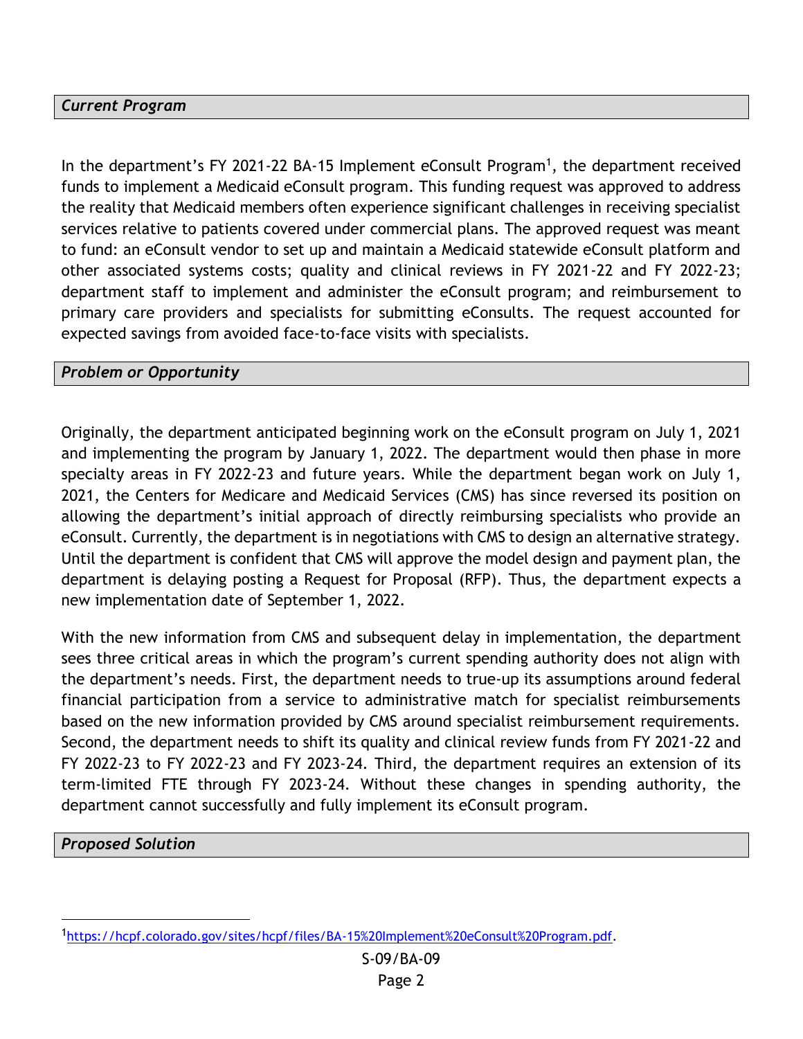# *Current Program*

In the department's FY 2021-22 BA-15 Implement eConsult Program<sup>1</sup>, the department received funds to implement a Medicaid eConsult program. This funding request was approved to address the reality that Medicaid members often experience significant challenges in receiving specialist services relative to patients covered under commercial plans. The approved request was meant to fund: an eConsult vendor to set up and maintain a Medicaid statewide eConsult platform and other associated systems costs; quality and clinical reviews in FY 2021-22 and FY 2022-23; department staff to implement and administer the eConsult program; and reimbursement to primary care providers and specialists for submitting eConsults. The request accounted for expected savings from avoided face-to-face visits with specialists.

#### *Problem or Opportunity*

Originally, the department anticipated beginning work on the eConsult program on July 1, 2021 and implementing the program by January 1, 2022. The department would then phase in more specialty areas in FY 2022-23 and future years. While the department began work on July 1, 2021, the Centers for Medicare and Medicaid Services (CMS) has since reversed its position on allowing the department's initial approach of directly reimbursing specialists who provide an eConsult. Currently, the department is in negotiations with CMS to design an alternative strategy. Until the department is confident that CMS will approve the model design and payment plan, the department is delaying posting a Request for Proposal (RFP). Thus, the department expects a new implementation date of September 1, 2022.

With the new information from CMS and subsequent delay in implementation, the department sees three critical areas in which the program's current spending authority does not align with the department's needs. First, the department needs to true-up its assumptions around federal financial participation from a service to administrative match for specialist reimbursements based on the new information provided by CMS around specialist reimbursement requirements. Second, the department needs to shift its quality and clinical review funds from FY 2021-22 and FY 2022-23 to FY 2022-23 and FY 2023-24. Third, the department requires an extension of its term-limited FTE through FY 2023-24. Without these changes in spending authority, the department cannot successfully and fully implement its eConsult program.

*Proposed Solution*

<sup>1</sup>[https://hcpf.colorado.gov/sites/hcpf/files/BA-15%20Implement%20eConsult%20Program.pdf.](https://hcpf.colorado.gov/sites/hcpf/files/BA-15%20Implement%20eConsult%20Program.pdf)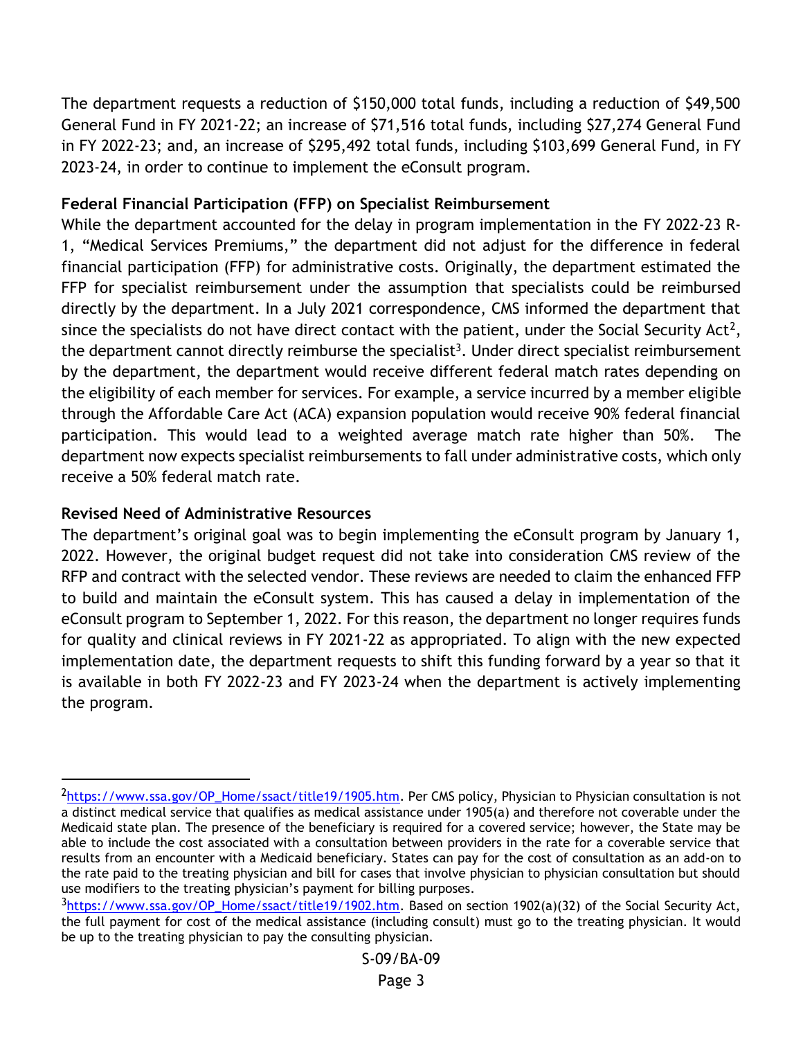The department requests a reduction of \$150,000 total funds, including a reduction of \$49,500 General Fund in FY 2021-22; an increase of \$71,516 total funds, including \$27,274 General Fund in FY 2022-23; and, an increase of \$295,492 total funds, including \$103,699 General Fund, in FY 2023-24, in order to continue to implement the eConsult program.

# **Federal Financial Participation (FFP) on Specialist Reimbursement**

While the department accounted for the delay in program implementation in the FY 2022-23 R-1, "Medical Services Premiums," the department did not adjust for the difference in federal financial participation (FFP) for administrative costs. Originally, the department estimated the FFP for specialist reimbursement under the assumption that specialists could be reimbursed directly by the department. In a July 2021 correspondence, CMS informed the department that since the specialists do not have direct contact with the patient, under the Social Security Act<sup>2</sup>, the department cannot directly reimburse the specialist<sup>3</sup>. Under direct specialist reimbursement by the department, the department would receive different federal match rates depending on the eligibility of each member for services. For example, a service incurred by a member eligible through the Affordable Care Act (ACA) expansion population would receive 90% federal financial participation. This would lead to a weighted average match rate higher than 50%. The department now expects specialist reimbursements to fall under administrative costs, which only receive a 50% federal match rate.

# **Revised Need of Administrative Resources**

The department's original goal was to begin implementing the eConsult program by January 1, 2022. However, the original budget request did not take into consideration CMS review of the RFP and contract with the selected vendor. These reviews are needed to claim the enhanced FFP to build and maintain the eConsult system. This has caused a delay in implementation of the eConsult program to September 1, 2022. For this reason, the department no longer requires funds for quality and clinical reviews in FY 2021-22 as appropriated. To align with the new expected implementation date, the department requests to shift this funding forward by a year so that it is available in both FY 2022-23 and FY 2023-24 when the department is actively implementing the program.

<sup>2</sup>[https://www.ssa.gov/OP\\_Home/ssact/title19/1905.htm.](https://www.ssa.gov/OP_Home/ssact/title19/1905.htm) Per CMS policy, Physician to Physician consultation is not a distinct medical service that qualifies as medical assistance under 1905(a) and therefore not coverable under the Medicaid state plan. The presence of the beneficiary is required for a covered service; however, the State may be able to include the cost associated with a consultation between providers in the rate for a coverable service that results from an encounter with a Medicaid beneficiary. States can pay for the cost of consultation as an add-on to the rate paid to the treating physician and bill for cases that involve physician to physician consultation but should use modifiers to the treating physician's payment for billing purposes.

<sup>3</sup>[https://www.ssa.gov/OP\\_Home/ssact/title19/1902.htm.](https://www.ssa.gov/OP_Home/ssact/title19/1902.htm) Based on section 1902(a)(32) of the Social Security Act, the full payment for cost of the medical assistance (including consult) must go to the treating physician. It would be up to the treating physician to pay the consulting physician.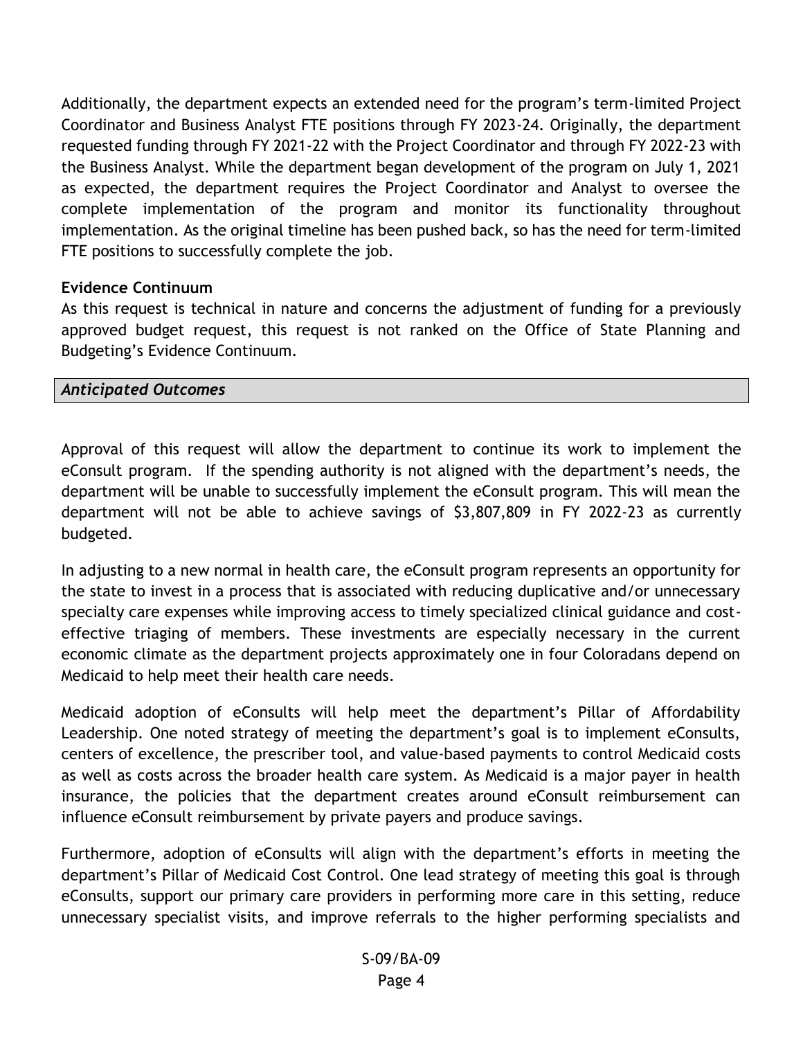Additionally, the department expects an extended need for the program's term-limited Project Coordinator and Business Analyst FTE positions through FY 2023-24. Originally, the department requested funding through FY 2021-22 with the Project Coordinator and through FY 2022-23 with the Business Analyst. While the department began development of the program on July 1, 2021 as expected, the department requires the Project Coordinator and Analyst to oversee the complete implementation of the program and monitor its functionality throughout implementation. As the original timeline has been pushed back, so has the need for term-limited FTE positions to successfully complete the job.

## **Evidence Continuum**

As this request is technical in nature and concerns the adjustment of funding for a previously approved budget request, this request is not ranked on the Office of State Planning and Budgeting's Evidence Continuum.

## *Anticipated Outcomes*

Approval of this request will allow the department to continue its work to implement the eConsult program. If the spending authority is not aligned with the department's needs, the department will be unable to successfully implement the eConsult program. This will mean the department will not be able to achieve savings of \$3,807,809 in FY 2022-23 as currently budgeted.

In adjusting to a new normal in health care, the eConsult program represents an opportunity for the state to invest in a process that is associated with reducing duplicative and/or unnecessary specialty care expenses while improving access to timely specialized clinical guidance and costeffective triaging of members. These investments are especially necessary in the current economic climate as the department projects approximately one in four Coloradans depend on Medicaid to help meet their health care needs.

Medicaid adoption of eConsults will help meet the department's Pillar of Affordability Leadership. One noted strategy of meeting the department's goal is to implement eConsults, centers of excellence, the prescriber tool, and value-based payments to control Medicaid costs as well as costs across the broader health care system. As Medicaid is a major payer in health insurance, the policies that the department creates around eConsult reimbursement can influence eConsult reimbursement by private payers and produce savings.

Furthermore, adoption of eConsults will align with the department's efforts in meeting the department's Pillar of Medicaid Cost Control. One lead strategy of meeting this goal is through eConsults, support our primary care providers in performing more care in this setting, reduce unnecessary specialist visits, and improve referrals to the higher performing specialists and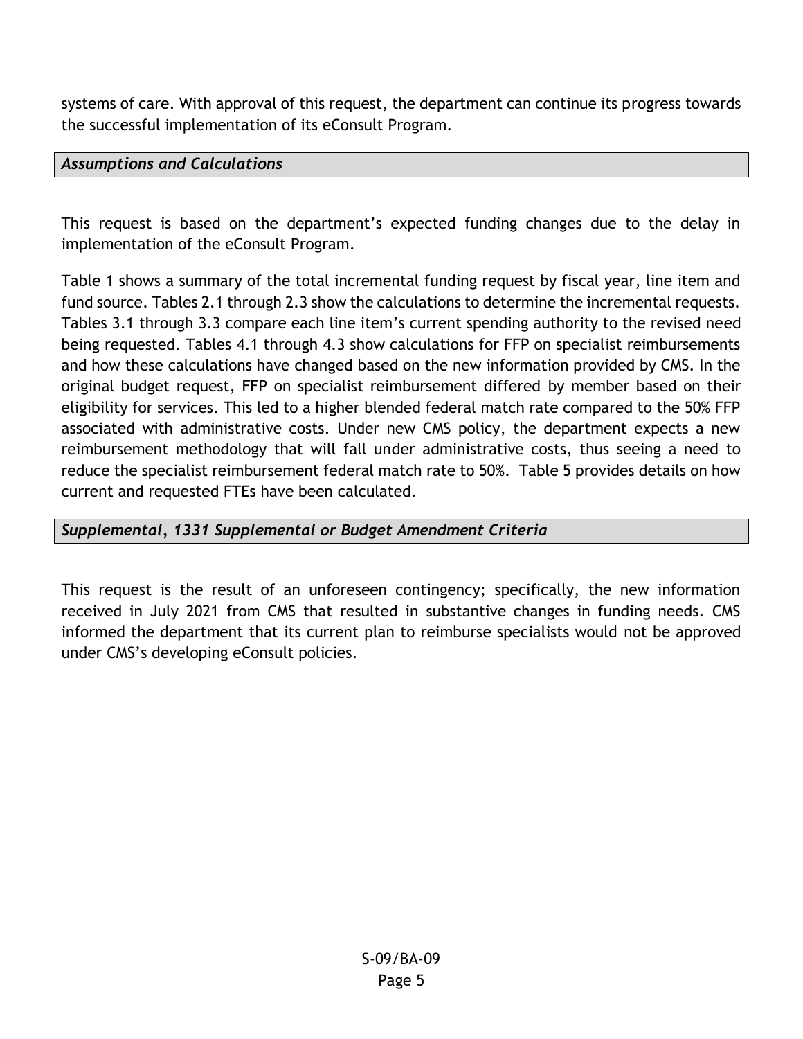systems of care. With approval of this request, the department can continue its progress towards the successful implementation of its eConsult Program.

## *Assumptions and Calculations*

This request is based on the department's expected funding changes due to the delay in implementation of the eConsult Program.

Table 1 shows a summary of the total incremental funding request by fiscal year, line item and fund source. Tables 2.1 through 2.3 show the calculations to determine the incremental requests. Tables 3.1 through 3.3 compare each line item's current spending authority to the revised need being requested. Tables 4.1 through 4.3 show calculations for FFP on specialist reimbursements and how these calculations have changed based on the new information provided by CMS. In the original budget request, FFP on specialist reimbursement differed by member based on their eligibility for services. This led to a higher blended federal match rate compared to the 50% FFP associated with administrative costs. Under new CMS policy, the department expects a new reimbursement methodology that will fall under administrative costs, thus seeing a need to reduce the specialist reimbursement federal match rate to 50%. Table 5 provides details on how current and requested FTEs have been calculated.

# *Supplemental, 1331 Supplemental or Budget Amendment Criteria*

This request is the result of an unforeseen contingency; specifically, the new information received in July 2021 from CMS that resulted in substantive changes in funding needs. CMS informed the department that its current plan to reimburse specialists would not be approved under CMS's developing eConsult policies.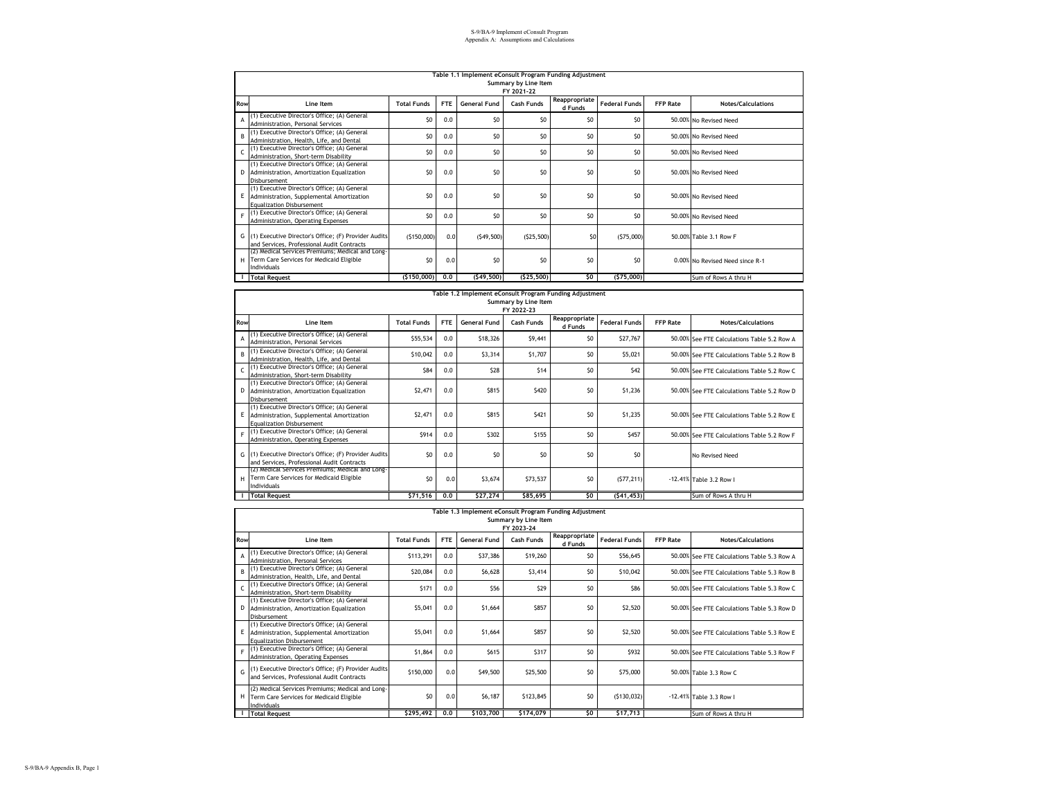|     | Table 1.1 Implement eConsult Program Funding Adjustment                                                                         |                    |            |                     |                |                          |                      |                 |                                 |  |  |  |  |
|-----|---------------------------------------------------------------------------------------------------------------------------------|--------------------|------------|---------------------|----------------|--------------------------|----------------------|-----------------|---------------------------------|--|--|--|--|
|     |                                                                                                                                 |                    |            |                     |                |                          |                      |                 |                                 |  |  |  |  |
|     | Summary by Line Item                                                                                                            |                    |            |                     |                |                          |                      |                 |                                 |  |  |  |  |
|     | FY 2021-22                                                                                                                      |                    |            |                     |                |                          |                      |                 |                                 |  |  |  |  |
| Row | Line Item                                                                                                                       | <b>Total Funds</b> | <b>FTE</b> | <b>General Fund</b> | Cash Funds     | Reappropriate<br>d Funds | <b>Federal Funds</b> | <b>FFP Rate</b> | Notes/Calculations              |  |  |  |  |
| A   | (1) Executive Director's Office; (A) General<br>Administration, Personal Services                                               | SO                 | 0.0        | \$0                 | SO             | \$0                      | S <sub>0</sub>       |                 | 50.00% No Revised Need          |  |  |  |  |
| B   | (1) Executive Director's Office; (A) General<br>Administration, Health, Life, and Dental                                        | S <sub>0</sub>     | 0.0        | S <sub>0</sub>      | S <sub>0</sub> | \$0                      | \$0                  |                 | 50.00% No Revised Need          |  |  |  |  |
|     | (1) Executive Director's Office; (A) General<br>Administration, Short-term Disability                                           | S <sub>0</sub>     | 0.0        | \$0                 | \$0            | \$0                      | S <sub>0</sub>       |                 | 50.00% No Revised Need          |  |  |  |  |
|     | (1) Executive Director's Office; (A) General<br>D Administration, Amortization Equalization<br>Disbursement                     | S <sub>0</sub>     | 0.0        | S <sub>0</sub>      | SO             | \$0                      | S <sub>0</sub>       |                 | 50,00% No Revised Need          |  |  |  |  |
|     | (1) Executive Director's Office; (A) General<br>E Administration, Supplemental Amortization<br><b>Equalization Disbursement</b> | SO                 | 0.0        | S <sub>0</sub>      | SO             | \$0                      | S <sub>0</sub>       |                 | 50,00% No Revised Need          |  |  |  |  |
|     | (1) Executive Director's Office; (A) General<br>Administration, Operating Expenses                                              | SO                 | 0.0        | SO                  | SO             | \$0                      | S <sub>0</sub>       |                 | 50.00% No Revised Need          |  |  |  |  |
|     | G (1) Executive Director's Office; (F) Provider Audits<br>and Services, Professional Audit Contracts                            | (5150,000)         | 0.0        | (549, 500)          | (525, 500)     | S0                       | (575,000)            |                 | 50.00% Table 3.1 Row F          |  |  |  |  |
|     | (2) Medical Services Premiums; Medical and Long-<br>H  Term Care Services for Medicaid Eligible<br>Individuals                  | SO                 | 0.0        | \$0                 | \$0            | \$0                      | S <sub>0</sub>       |                 | 0.00% No Revised Need since R-1 |  |  |  |  |
|     | <b>Total Request</b>                                                                                                            | (\$150,000)        | 0.0        | (549, 500)          | (\$25,500)     | \$0                      | (575,000)            |                 | Sum of Rows A thru H            |  |  |  |  |

|            | Table 1.2 Implement eConsult Program Funding Adjustment<br>Summary by Line Item                                               |                    |            |                     |                          |                          |                      |                 |                                              |  |  |  |  |
|------------|-------------------------------------------------------------------------------------------------------------------------------|--------------------|------------|---------------------|--------------------------|--------------------------|----------------------|-----------------|----------------------------------------------|--|--|--|--|
| Row        | Line Item                                                                                                                     | <b>Total Funds</b> | <b>FTE</b> | <b>General Fund</b> | FY 2022-23<br>Cash Funds | Reappropriate<br>d Funds | <b>Federal Funds</b> | <b>FFP Rate</b> | Notes/Calculations                           |  |  |  |  |
| A          | (1) Executive Director's Office; (A) General<br>Administration, Personal Services                                             | \$55,534           | 0.0        | \$18,326            | \$9,441                  | \$0                      | \$27,767             |                 | 50,00% See FTE Calculations Table 5.2 Row A  |  |  |  |  |
| R,         | (1) Executive Director's Office; (A) General<br>Administration, Health, Life, and Dental                                      | \$10,042           | 0.0        | \$3,314             | \$1,707                  | \$0                      | \$5,021              |                 | 50.00% See FTE Calculations Table 5.2 Row B  |  |  |  |  |
| $\epsilon$ | (1) Executive Director's Office; (A) General<br>Administration, Short-term Disability                                         | \$84               | 0.0        | \$28                | \$14                     | \$0                      | \$42                 |                 | 50.00% See FTE Calculations Table 5.2 Row C. |  |  |  |  |
| D          | (1) Executive Director's Office; (A) General<br>Administration, Amortization Equalization<br>Disbursement                     | \$2,471            | 0.0        | <b>S815</b>         | \$420                    | \$0                      | \$1,236              |                 | 50.00% See FTE Calculations Table 5.2 Row D  |  |  |  |  |
| Ε          | (1) Executive Director's Office; (A) General<br>Administration, Supplemental Amortization<br><b>Equalization Disbursement</b> | \$2,471            | 0.0        | <b>S815</b>         | <b>S421</b>              | \$0                      | \$1,235              |                 | 50,00% See FTE Calculations Table 5.2 Row E  |  |  |  |  |
| F          | (1) Executive Director's Office; (A) General<br>Administration, Operating Expenses                                            | \$914              | 0.0        | \$302               | \$155                    | \$0                      | <b>S457</b>          |                 | 50,00% See FTE Calculations Table 5.2 Row F  |  |  |  |  |
|            | G (1) Executive Director's Office; (F) Provider Audits<br>and Services, Professional Audit Contracts                          | SO                 | 0.0        | S <sub>0</sub>      | S <sub>0</sub>           | \$0                      | SO                   |                 | No Revised Need                              |  |  |  |  |
| н          | (2) Medical Services Premiums; Medical and Long-<br>Term Care Services for Medicaid Eligible<br>Individuals                   | S <sub>0</sub>     | 0.0        | \$3,674             | \$73,537                 | S <sub>0</sub>           | (577, 211)           |                 | -12.41% Table 3.2 Row I                      |  |  |  |  |
|            | <b>Total Request</b>                                                                                                          | \$71,516           | 0.0        | \$27,274            | \$85,695                 | SO.                      | (541, 453)           |                 | Sum of Rows A thru H                         |  |  |  |  |

| Table 1.3 Implement eConsult Program Funding Adjustment |   |  |  |
|---------------------------------------------------------|---|--|--|
|                                                         | . |  |  |

|              | Summary by Line Item<br>FY 2023-24                                                                                            |                    |            |                     |            |                          |                      |                 |                                             |  |  |  |  |
|--------------|-------------------------------------------------------------------------------------------------------------------------------|--------------------|------------|---------------------|------------|--------------------------|----------------------|-----------------|---------------------------------------------|--|--|--|--|
| Row          | Line Item                                                                                                                     | <b>Total Funds</b> | <b>FTE</b> | <b>General Fund</b> | Cash Funds | Reappropriate<br>d Funds | <b>Federal Funds</b> | <b>FFP Rate</b> | <b>Notes/Calculations</b>                   |  |  |  |  |
| A            | (1) Executive Director's Office; (A) General<br>Administration, Personal Services                                             | \$113,291          | 0.0        | \$37,386            | \$19,260   | \$0                      | \$56,645             |                 | 50.00% See FTE Calculations Table 5.3 Row A |  |  |  |  |
| B            | (1) Executive Director's Office; (A) General<br>Administration, Health, Life, and Dental                                      | \$20,084           | 0.0        | \$6,628             | \$3,414    | \$0                      | \$10,042             |                 | 50,00% See FTE Calculations Table 5.3 Row B |  |  |  |  |
| $\mathsf{C}$ | (1) Executive Director's Office; (A) General<br>Administration, Short-term Disability                                         | \$171              | 0.0        | \$56                | \$29       | \$0                      | <b>\$86</b>          |                 | 50.00% See FTE Calculations Table 5.3 Row C |  |  |  |  |
| D            | (1) Executive Director's Office; (A) General<br>Administration, Amortization Equalization<br>Disbursement                     | \$5,041            | 0.0        | \$1,664             | \$857      | \$0                      | \$2,520              |                 | 50.00% See FTE Calculations Table 5.3 Row D |  |  |  |  |
| E.           | (1) Executive Director's Office; (A) General<br>Administration, Supplemental Amortization<br><b>Equalization Disbursement</b> | \$5,041            | 0.0        | \$1,664             | \$857      | \$0                      | \$2,520              |                 | 50,00% See FTE Calculations Table 5.3 Row E |  |  |  |  |
|              | F (1) Executive Director's Office; (A) General<br>Administration, Operating Expenses                                          | \$1,864            | 0.0        | S615                | \$317      | \$0                      | \$932                |                 | 50,00% See FTE Calculations Table 5.3 Row F |  |  |  |  |
|              | G (1) Executive Director's Office; (F) Provider Audits<br>and Services, Professional Audit Contracts                          | \$150,000          | 0.0        | \$49,500            | \$25,500   | \$0                      | \$75,000             |                 | 50.00% Table 3.3 Row C                      |  |  |  |  |
|              | (2) Medical Services Premiums; Medical and Long-<br>H Term Care Services for Medicaid Eligible<br>Individuals                 | \$0                | 0.0        | S6.187              | \$123,845  | \$0                      | (5130, 032)          |                 | -12.41% Table 3.3 Row I                     |  |  |  |  |
|              | <b>Total Request</b>                                                                                                          | \$295,492          | 0.0        | \$103,700           | \$174,079  | \$0                      | \$17,713             |                 | Sum of Rows A thru H                        |  |  |  |  |

 $\blacksquare$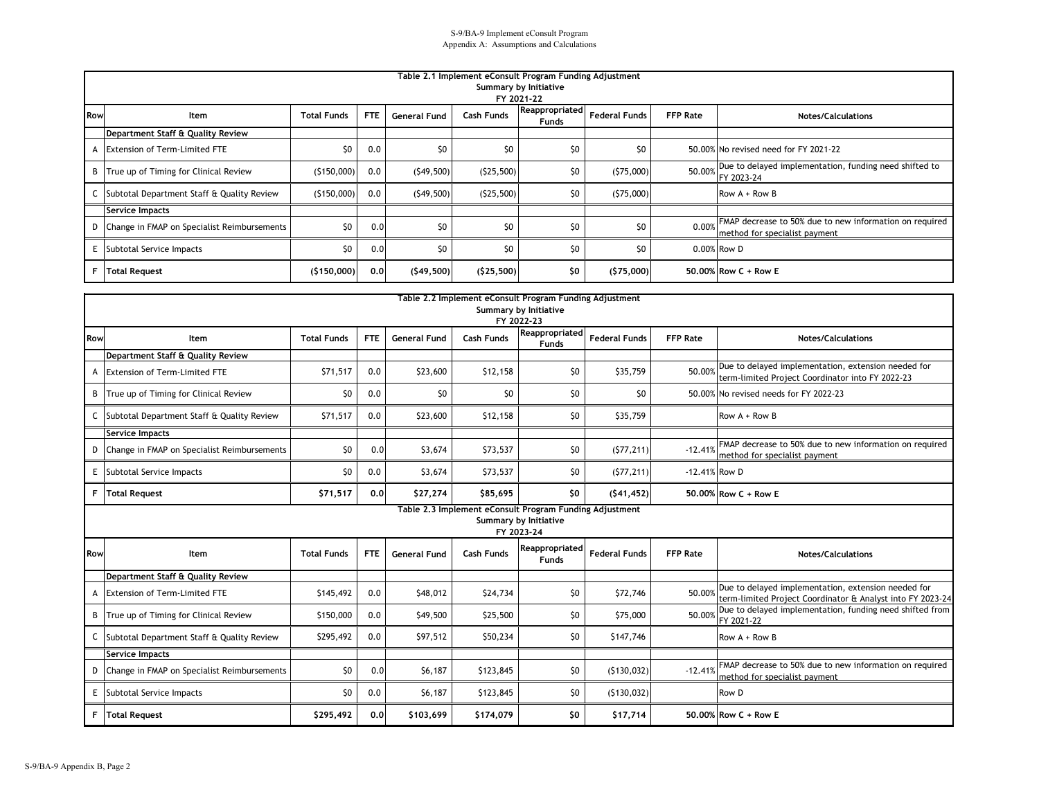|            | Table 2.1 Implement eConsult Program Funding Adjustment<br>Summary by Initiative<br>FY 2021-22 |                    |            |                     |                   |                                |                      |                 |                                                                                          |  |  |  |  |
|------------|------------------------------------------------------------------------------------------------|--------------------|------------|---------------------|-------------------|--------------------------------|----------------------|-----------------|------------------------------------------------------------------------------------------|--|--|--|--|
| <b>Row</b> | Item                                                                                           | <b>Total Funds</b> | <b>FTE</b> | <b>General Fund</b> | <b>Cash Funds</b> | Reappropriated<br><b>Funds</b> | <b>Federal Funds</b> | <b>FFP Rate</b> | <b>Notes/Calculations</b>                                                                |  |  |  |  |
|            | Department Staff & Quality Review                                                              |                    |            |                     |                   |                                |                      |                 |                                                                                          |  |  |  |  |
|            | A Extension of Term-Limited FTE                                                                | \$0                | 0.0        | \$0                 | \$0               | \$0                            | \$0                  |                 | 50.00% No revised need for FY 2021-22                                                    |  |  |  |  |
|            | B True up of Timing for Clinical Review                                                        | (5150,000)         | 0.0        | (549, 500)          | (525,500)         | \$0                            | (575,000)            | 50.00%          | Due to delayed implementation, funding need shifted to<br>FY 2023-24                     |  |  |  |  |
|            | C Subtotal Department Staff & Quality Review                                                   | (5150,000)         | 0.0        | (549, 500)          | (525,500)         | \$0                            | (575,000)            |                 | Row $A + Row B$                                                                          |  |  |  |  |
|            | Service Impacts                                                                                |                    |            |                     |                   |                                |                      |                 |                                                                                          |  |  |  |  |
|            | D Change in FMAP on Specialist Reimbursements                                                  | \$0                | 0.0        | \$0                 | \$0               | \$0                            | \$0                  | 0.00%           | FMAP decrease to 50% due to new information on required<br>method for specialist payment |  |  |  |  |
|            | E Subtotal Service Impacts                                                                     | \$0                | 0.0        | \$0                 | \$0               | \$0                            | \$0                  |                 | 0.00% Row D                                                                              |  |  |  |  |
|            | <b>F</b> Total Request                                                                         | (5150,000)         | 0.0        | (549, 500)          | (525,500)         | \$0                            | (575,000)            |                 | 50.00% Row C + Row E                                                                     |  |  |  |  |

|     |                                               |                    |            |                     |                   | Table 2.2 Implement eConsult Program Funding Adjustment |                      |                 |                                                                                                                   |
|-----|-----------------------------------------------|--------------------|------------|---------------------|-------------------|---------------------------------------------------------|----------------------|-----------------|-------------------------------------------------------------------------------------------------------------------|
|     |                                               |                    |            |                     |                   | Summary by Initiative<br>FY 2022-23                     |                      |                 |                                                                                                                   |
| Row | Item                                          | <b>Total Funds</b> | <b>FTE</b> | <b>General Fund</b> | <b>Cash Funds</b> | Reappropriated<br><b>Funds</b>                          | <b>Federal Funds</b> | <b>FFP Rate</b> | <b>Notes/Calculations</b>                                                                                         |
|     | Department Staff & Quality Review             |                    |            |                     |                   |                                                         |                      |                 |                                                                                                                   |
| A   | <b>Extension of Term-Limited FTE</b>          | \$71,517           | 0.0        | \$23,600            | \$12,158          | \$0                                                     | \$35,759             | 50.00%          | Due to delayed implementation, extension needed for<br>term-limited Project Coordinator into FY 2022-23           |
|     | B True up of Timing for Clinical Review       | \$0                | 0.0        | \$0                 | \$0               | \$0                                                     | \$0                  |                 | 50.00% No revised needs for FY 2022-23                                                                            |
|     | C Subtotal Department Staff & Quality Review  | \$71,517           | 0.0        | \$23,600            | \$12,158          | \$0                                                     | \$35,759             |                 | Row $A + Row B$                                                                                                   |
|     | Service Impacts                               |                    |            |                     |                   |                                                         |                      |                 |                                                                                                                   |
|     | D Change in FMAP on Specialist Reimbursements | \$0                | 0.0        | \$3,674             | \$73,537          | \$0                                                     | (577, 211)           | $-12.41%$       | FMAP decrease to 50% due to new information on required<br>method for specialist payment                          |
|     | E Subtotal Service Impacts                    | \$0                | 0.0        | \$3,674             | \$73,537          | \$0                                                     | (577, 211)           | -12.41% Row D   |                                                                                                                   |
|     | F Total Request                               | \$71,517           | 0.0        | \$27,274            | \$85.695          | \$0                                                     | (541, 452)           |                 | 50.00% Row C + Row E                                                                                              |
|     |                                               |                    |            |                     |                   | Table 2.3 Implement eConsult Program Funding Adjustment |                      |                 |                                                                                                                   |
|     |                                               |                    |            |                     |                   | <b>Summary by Initiative</b><br>FY 2023-24              |                      |                 |                                                                                                                   |
| Row | Item                                          | <b>Total Funds</b> | <b>FTE</b> | <b>General Fund</b> | <b>Cash Funds</b> | Reappropriated<br>Funds                                 | <b>Federal Funds</b> | <b>FFP Rate</b> | <b>Notes/Calculations</b>                                                                                         |
|     | Department Staff & Quality Review             |                    |            |                     |                   |                                                         |                      |                 |                                                                                                                   |
| A   | <b>Extension of Term-Limited FTE</b>          | \$145,492          | 0.0        | \$48,012            | \$24,734          | \$0                                                     | \$72,746             | 50.00%          | Due to delayed implementation, extension needed for<br>term-limited Project Coordinator & Analyst into FY 2023-24 |
|     | B True up of Timing for Clinical Review       | \$150,000          | 0.0        | \$49,500            | \$25,500          | \$0                                                     | \$75,000             | 50.00%          | Due to delayed implementation, funding need shifted from<br>FY 2021-22                                            |
|     | C Subtotal Department Staff & Quality Review  | \$295,492          | 0.0        | \$97,512            | \$50,234          | \$0                                                     | \$147,746            |                 | Row $A + Row B$                                                                                                   |
|     | Service Impacts                               |                    |            |                     |                   |                                                         |                      |                 |                                                                                                                   |
|     | D Change in FMAP on Specialist Reimbursements | \$0                | 0.0        | \$6,187             | \$123,845         | \$0                                                     | (5130, 032)          | $-12.41%$       | FMAP decrease to 50% due to new information on required<br>method for specialist payment                          |
|     | E Subtotal Service Impacts                    | \$0                | 0.0        | \$6,187             | \$123,845         | \$0                                                     | (5130, 032)          |                 | Row D                                                                                                             |
|     | F   Total Request                             | \$295,492          | 0.0        | \$103,699           | \$174,079         | \$0                                                     | \$17,714             |                 | 50.00% Row C + Row E                                                                                              |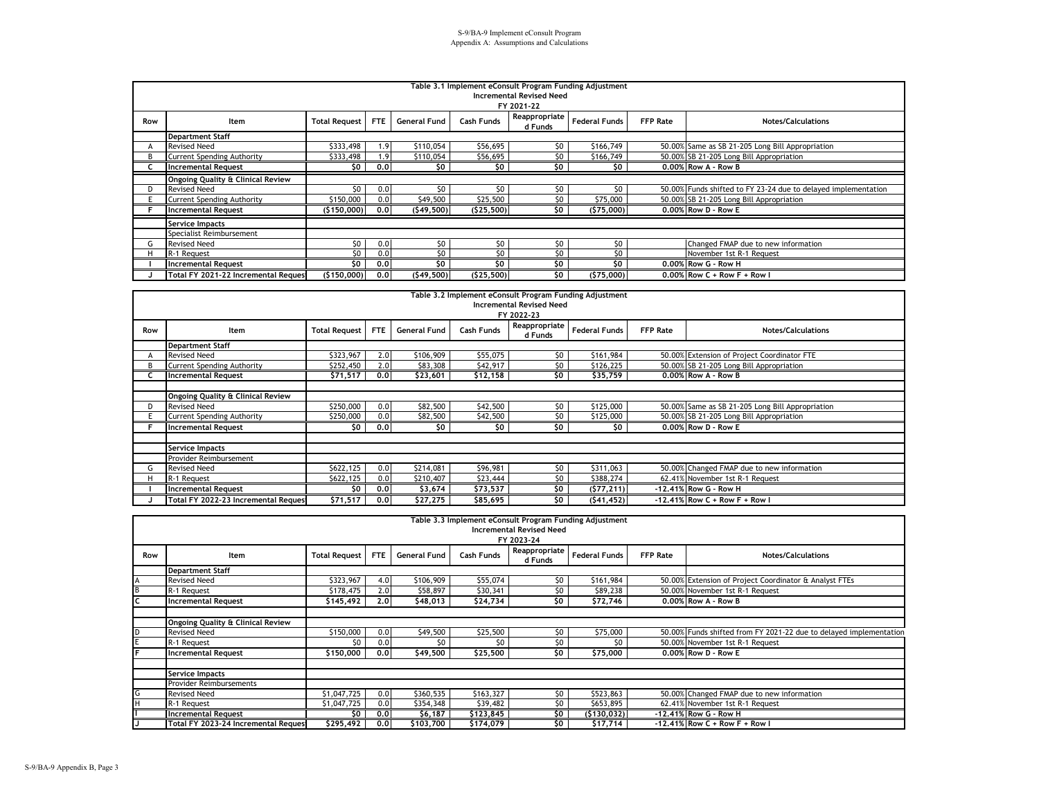|     | Table 3.1 Implement eConsult Program Funding Adjustment<br><b>Incremental Revised Need</b><br>FY 2021-22 |                      |            |                     |                   |                          |                      |          |                                                                |  |  |  |  |  |
|-----|----------------------------------------------------------------------------------------------------------|----------------------|------------|---------------------|-------------------|--------------------------|----------------------|----------|----------------------------------------------------------------|--|--|--|--|--|
| Row | Item                                                                                                     | <b>Total Request</b> | <b>FTE</b> | <b>General Fund</b> | <b>Cash Funds</b> | Reappropriate<br>d Funds | <b>Federal Funds</b> | FFP Rate | <b>Notes/Calculations</b>                                      |  |  |  |  |  |
|     | <b>Department Staff</b>                                                                                  |                      |            |                     |                   |                          |                      |          |                                                                |  |  |  |  |  |
|     | <b>Revised Need</b>                                                                                      | \$333,498            | 1.9        | \$110,054           | \$56,695          | \$0                      | \$166,749            |          | 50.00% Same as SB 21-205 Long Bill Appropriation               |  |  |  |  |  |
|     | <b>Current Spending Authority</b>                                                                        | \$333,498            | 1.9        | \$110,054           | \$56,695          | \$0                      | \$166,749            |          | 50.00% SB 21-205 Long Bill Appropriation                       |  |  |  |  |  |
|     | <b>Incremental Request</b>                                                                               | SO.                  | 0.0        | \$0                 | \$0               | \$0                      | \$0                  |          | 0.00% Row A - Row B                                            |  |  |  |  |  |
|     | <b>Ongoing Quality &amp; Clinical Review</b>                                                             |                      |            |                     |                   |                          |                      |          |                                                                |  |  |  |  |  |
|     | <b>Revised Need</b>                                                                                      | SO.                  | 0.0        | \$O                 | \$0               | \$0                      | \$0                  |          | 50.00% Funds shifted to FY 23-24 due to delayed implementation |  |  |  |  |  |
|     | <b>Current Spending Authority</b>                                                                        | \$150,000            | 0.0        | \$49,500            | \$25,500          | \$0                      | \$75,000             |          | 50.00% SB 21-205 Long Bill Appropriation                       |  |  |  |  |  |
|     | <b>Incremental Request</b>                                                                               | (\$150,000)          | 0.0        | (549,500)           | (525,500)         | \$0                      | (575,000)            |          | 0.00% Row D - Row E                                            |  |  |  |  |  |
|     | <b>Service Impacts</b>                                                                                   |                      |            |                     |                   |                          |                      |          |                                                                |  |  |  |  |  |
|     | Specialist Reimbursement                                                                                 |                      |            |                     |                   |                          |                      |          |                                                                |  |  |  |  |  |
|     | <b>Revised Need</b>                                                                                      | \$0                  | 0.0        | \$0                 | \$0               | \$0                      | \$0                  |          | Changed FMAP due to new information                            |  |  |  |  |  |
|     | R-1 Request                                                                                              | \$0                  | 0.0        | \$0                 | \$0               | \$0                      | \$0                  |          | November 1st R-1 Request                                       |  |  |  |  |  |
|     | <b>Incremental Request</b>                                                                               | \$0                  | 0.0        | \$0                 | \$0               | \$0                      | \$0                  |          | 0.00% Row G - Row H                                            |  |  |  |  |  |
|     | Total FY 2021-22 Incremental Request                                                                     | (\$150,000)          | 0.0        | (549, 500)          | (525, 500)        | \$0                      | (575,000)            |          | $0.00\%$ Row C + Row F + Row I                                 |  |  |  |  |  |

|     | Table 3.2 Implement eConsult Program Funding Adjustment<br><b>Incremental Revised Need</b><br>FY 2022-23 |                      |     |                     |            |                          |                      |                 |                                                  |  |  |  |  |  |
|-----|----------------------------------------------------------------------------------------------------------|----------------------|-----|---------------------|------------|--------------------------|----------------------|-----------------|--------------------------------------------------|--|--|--|--|--|
| Row | Item                                                                                                     | <b>Total Request</b> | FTE | <b>General Fund</b> | Cash Funds | Reappropriate<br>d Funds | <b>Federal Funds</b> | <b>FFP Rate</b> | <b>Notes/Calculations</b>                        |  |  |  |  |  |
|     | <b>Department Staff</b>                                                                                  |                      |     |                     |            |                          |                      |                 |                                                  |  |  |  |  |  |
|     | <b>Revised Need</b>                                                                                      | \$323,967            | 2.0 | \$106,909           | \$55,075   | \$0                      | \$161,984            |                 | 50.00% Extension of Project Coordinator FTE      |  |  |  |  |  |
| R.  | Current Spending Authority                                                                               | \$252,450            | 2.0 | \$83,308            | \$42,917   | \$0                      | \$126,225            |                 | 50.00% SB 21-205 Long Bill Appropriation         |  |  |  |  |  |
|     | <b>Incremental Request</b>                                                                               | \$71,517             | 0.0 | \$23,601            | \$12,158   | \$0                      | \$35,759             |                 | 0.00% Row A - Row B                              |  |  |  |  |  |
|     |                                                                                                          |                      |     |                     |            |                          |                      |                 |                                                  |  |  |  |  |  |
|     | <b>Ongoing Quality &amp; Clinical Review</b>                                                             |                      |     |                     |            |                          |                      |                 |                                                  |  |  |  |  |  |
|     | <b>Revised Need</b>                                                                                      | \$250,000            | 0.0 | \$82,500            | \$42,500   | \$0                      | \$125,000            |                 | 50.00% Same as SB 21-205 Long Bill Appropriation |  |  |  |  |  |
|     | Current Spending Authority                                                                               | \$250,000            | 0.0 | \$82,500            | \$42,500   | \$0                      | \$125,000            |                 | 50.00% SB 21-205 Long Bill Appropriation         |  |  |  |  |  |
|     | <b>Incremental Request</b>                                                                               | \$0                  | 0.0 | \$0                 | \$0        | \$0                      | \$0                  |                 | 0.00% Row D - Row E                              |  |  |  |  |  |
|     |                                                                                                          |                      |     |                     |            |                          |                      |                 |                                                  |  |  |  |  |  |
|     | Service Impacts                                                                                          |                      |     |                     |            |                          |                      |                 |                                                  |  |  |  |  |  |
|     | Provider Reimbursement                                                                                   |                      |     |                     |            |                          |                      |                 |                                                  |  |  |  |  |  |
|     | <b>Revised Need</b>                                                                                      | \$622,125            | 0.0 | \$214,081           | \$96,981   | \$0                      | \$311,063            |                 | 50.00% Changed FMAP due to new information       |  |  |  |  |  |
|     | R-1 Request                                                                                              | \$622,125            | 0.0 | \$210,407           | \$23,444   | \$0                      | \$388,274            |                 | 62.41% November 1st R-1 Request                  |  |  |  |  |  |
|     | <b>Incremental Request</b>                                                                               | \$0                  | 0.0 | \$3,674             | \$73,537   | \$0                      | (577, 211)           |                 | -12,41% Row G - Row H                            |  |  |  |  |  |
|     | Total FY 2022-23 Incremental Request                                                                     | \$71,517             | 0.0 | \$27,275            | \$85,695   | \$0                      | (541, 452)           |                 | $-12.41\%$ Row C + Row F + Row I                 |  |  |  |  |  |

|     | Table 3.3 Implement eConsult Program Funding Adjustment |                      |            |                     |                   |                          |                      |                 |                                                                    |
|-----|---------------------------------------------------------|----------------------|------------|---------------------|-------------------|--------------------------|----------------------|-----------------|--------------------------------------------------------------------|
|     | <b>Incremental Revised Need</b>                         |                      |            |                     |                   |                          |                      |                 |                                                                    |
|     |                                                         |                      |            |                     |                   | FY 2023-24               |                      |                 |                                                                    |
| Row | Item                                                    | <b>Total Request</b> | <b>FTE</b> | <b>General Fund</b> | <b>Cash Funds</b> | Reappropriate<br>d Funds | <b>Federal Funds</b> | <b>FFP Rate</b> | <b>Notes/Calculations</b>                                          |
|     | <b>Department Staff</b>                                 |                      |            |                     |                   |                          |                      |                 |                                                                    |
|     | <b>Revised Need</b>                                     | \$323,967            | 4.0        | \$106,909           | \$55,074          | \$0                      | \$161,984            |                 | 50.00% Extension of Project Coordinator & Analyst FTEs             |
|     | R-1 Request                                             | \$178,475            | 2.0        | \$58,897            | \$30,341          | \$0                      | \$89,238             |                 | 50.00% November 1st R-1 Request                                    |
|     | <b>Incremental Request</b>                              | \$145,492            | 2.0        | \$48,013            | \$24,734          | \$0                      | \$72,746             |                 | 0.00% Row A - Row B                                                |
|     |                                                         |                      |            |                     |                   |                          |                      |                 |                                                                    |
|     | Ongoing Quality & Clinical Review                       |                      |            |                     |                   |                          |                      |                 |                                                                    |
|     | <b>Revised Need</b>                                     | \$150,000            | 0.0        | \$49,500            | \$25,500          | \$0                      | \$75,000             |                 | 50.00% Funds shifted from FY 2021-22 due to delayed implementation |
|     | R-1 Request                                             | \$0                  | 0.0        | \$0                 | \$0               | \$0                      | \$0                  |                 | 50.00% November 1st R-1 Request                                    |
|     | <b>Incremental Request</b>                              | \$150,000            | 0.0        | \$49,500            | \$25,500          | \$0                      | $\overline{57}5,000$ |                 | 0.00% Row D - Row E                                                |
|     |                                                         |                      |            |                     |                   |                          |                      |                 |                                                                    |
|     | <b>Service Impacts</b>                                  |                      |            |                     |                   |                          |                      |                 |                                                                    |
|     | <b>Provider Reimbursements</b>                          |                      |            |                     |                   |                          |                      |                 |                                                                    |
| G   | <b>Revised Need</b>                                     | \$1,047,725          | 0.0        | \$360,535           | \$163,327         | 50                       | \$523,863            |                 | 50.00% Changed FMAP due to new information                         |
|     | R-1 Request                                             | \$1,047,725          | 0.0        | \$354,348           | \$39,482          | \$0                      | \$653,895            |                 | 62.41% November 1st R-1 Request                                    |
|     | <b>Incremental Request</b>                              | \$0                  | 0.0        | \$6,187             | \$123,845         | \$0                      | (5130, 032)          |                 | -12.41% Row G - Row H                                              |
|     | Total FY 2023-24 Incremental Reques                     | \$295,492            | 0.0        | \$103,700           | \$174,079         | \$0                      | \$17,714             |                 | $-12.41\%$ Row C + Row F + Row I                                   |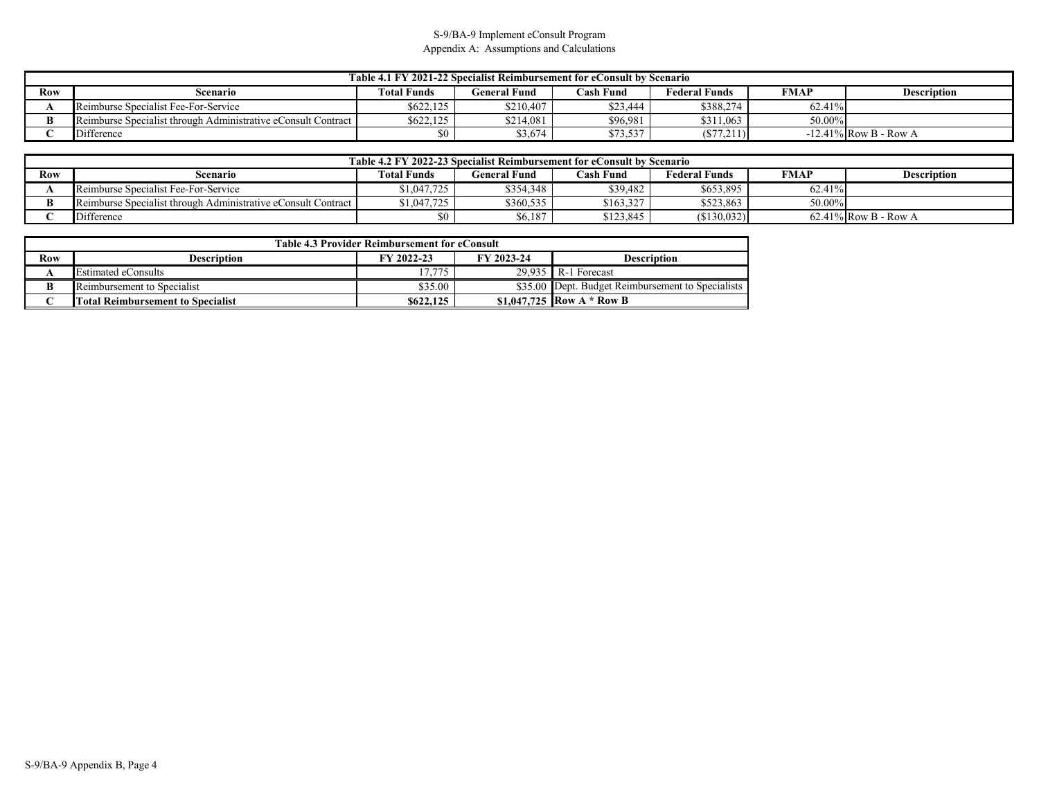|     | Table 4.1 FY 2021-22 Specialist Reimbursement for eConsult by Scenario                                                          |           |           |          |           |        |                          |  |  |
|-----|---------------------------------------------------------------------------------------------------------------------------------|-----------|-----------|----------|-----------|--------|--------------------------|--|--|
| Row | <b>FMAP</b><br><b>Total Funds</b><br>General Fund<br><b>Cash Fund</b><br><b>Federal Funds</b><br><b>Description</b><br>Scenario |           |           |          |           |        |                          |  |  |
|     | Reimburse Specialist Fee-For-Service                                                                                            | \$622,125 | \$210,407 | \$23.444 | \$388,274 | 62.41% |                          |  |  |
|     | Reimburse Specialist through Administrative eConsult Contract                                                                   | \$622,125 | \$214,081 | \$96.981 | \$311,063 | 50.00% |                          |  |  |
|     | Difference                                                                                                                      |           | \$3,674   | \$73,537 | (S77,211) |        | $-12.41\%$ Row B - Row A |  |  |

|     | Table 4.2 FY 2022-23 Specialist Reimbursement for eConsult by Scenario                                            |             |           |           |             |        |                         |  |  |
|-----|-------------------------------------------------------------------------------------------------------------------|-------------|-----------|-----------|-------------|--------|-------------------------|--|--|
| Row | <b>Federal Funds</b><br>FMAP<br><b>Cash Fund</b><br>Total Funds<br><b>General Fund</b><br>Description<br>Scenario |             |           |           |             |        |                         |  |  |
|     | Reimburse Specialist Fee-For-Service                                                                              | \$1,047,725 | \$354,348 | \$39.482  | \$653,895   | 62.41% |                         |  |  |
|     | Reimburse Specialist through Administrative eConsult Contract                                                     | \$1,047,725 | \$360,535 | \$163,327 | \$523,863   | 50.00% |                         |  |  |
|     | Difference                                                                                                        |             | \$6,187   | \$123.845 | (\$130,032) |        | $62.41\%$ Row B - Row A |  |  |

|     | <b>Table 4.3 Provider Reimbursement for eConsult</b> |            |            |                                                   |  |  |  |  |  |
|-----|------------------------------------------------------|------------|------------|---------------------------------------------------|--|--|--|--|--|
| Row | Description                                          | FY 2022-23 | FY 2023-24 | <b>Description</b>                                |  |  |  |  |  |
|     | <b>Estimated eConsults</b>                           | 17.775     | 29.935     | R-1 Forecast                                      |  |  |  |  |  |
|     | Reimbursement to Specialist                          | \$35.00    |            | \$35.00 Dept. Budget Reimbursement to Specialists |  |  |  |  |  |
|     | <b>Total Reimbursement to Specialist</b>             | \$622,125  |            | \$1,047,725 Row A $*$ Row B                       |  |  |  |  |  |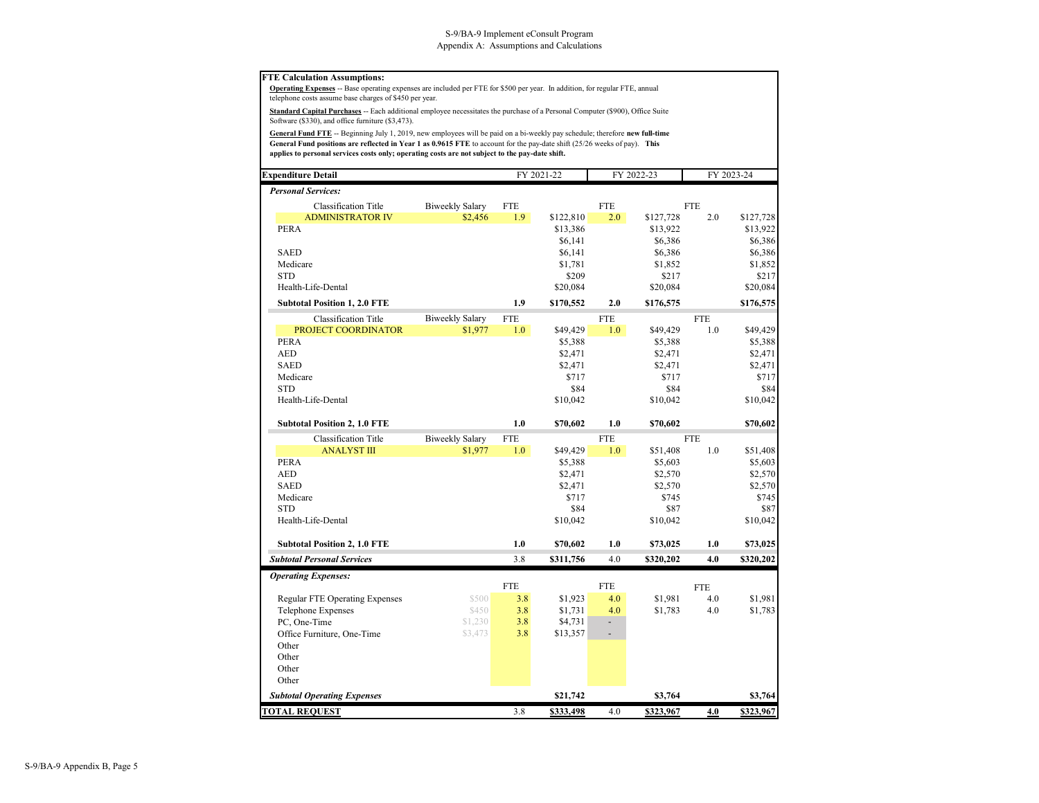#### **FTE Calculation Assumptions:**

**Operating Expenses** -- Base operating expenses are included per FTE for \$500 per year. In addition, for regular FTE, annual telephone costs assume base charges of \$450 per year.

**Standard Capital Purchases** -- Each additional employee necessitates the purchase of a Personal Computer (\$900), Office Suite Software (\$330), and office furniture (\$3,473).

**General Fund FTE** -- Beginning July 1, 2019, new employees will be paid on a bi-weekly pay schedule; therefore **new full-time General Fund positions are reflected in Year 1 as 0.9615 FTE** to account for the pay-date shift (25/26 weeks of pay). **This applies to personal services costs only; operating costs are not subject to the pay-date shift.**

| <b>Expenditure Detail</b>              |                        |                  | FY 2021-22            |                  | FY 2022-23            |            | FY 2023-24            |
|----------------------------------------|------------------------|------------------|-----------------------|------------------|-----------------------|------------|-----------------------|
| <b>Personal Services:</b>              |                        |                  |                       |                  |                       |            |                       |
| <b>Classification Title</b>            | <b>Biweekly Salary</b> | <b>FTE</b>       |                       | <b>FTE</b>       |                       | <b>FTE</b> |                       |
| <b>ADMINISTRATOR IV</b><br><b>PERA</b> | \$2,456                | $1.9-1$          | \$122,810<br>\$13,386 | 2.0              | \$127,728<br>\$13,922 | 2.0        | \$127,728<br>\$13,922 |
|                                        |                        |                  | \$6,141               |                  | \$6,386               |            | \$6,386               |
| <b>SAED</b>                            |                        |                  | \$6,141               |                  | \$6,386               |            | \$6,386               |
| Medicare                               |                        |                  | \$1,781               |                  | \$1,852               |            | \$1,852               |
| <b>STD</b>                             |                        |                  | \$209                 |                  | \$217                 |            | \$217                 |
| Health-Life-Dental                     |                        |                  | \$20,084              |                  | \$20,084              |            | \$20,084              |
| <b>Subtotal Position 1, 2.0 FTE</b>    |                        | 1.9              | \$170,552             | 2.0              | \$176,575             |            | \$176,575             |
| Classification Title                   | <b>Biweekly Salary</b> | <b>FTE</b>       |                       | <b>FTE</b>       |                       | <b>FTE</b> |                       |
| PROJECT COORDINATOR                    | \$1,977                | 1.0 <sub>1</sub> | \$49,429              | 1.0              | \$49,429              | 1.0        | \$49,429              |
| <b>PERA</b>                            |                        |                  | \$5,388               |                  | \$5,388               |            | \$5,388               |
| <b>AED</b>                             |                        |                  | \$2,471               |                  | \$2,471               |            | \$2,471               |
| <b>SAED</b>                            |                        |                  | \$2,471               |                  | \$2,471               |            | \$2,471               |
| Medicare                               |                        |                  | \$717                 |                  | \$717                 |            | \$717                 |
| <b>STD</b>                             |                        |                  | \$84                  |                  | \$84                  |            | \$84                  |
| Health-Life-Dental                     |                        |                  | \$10,042              |                  | \$10,042              |            | \$10,042              |
| <b>Subtotal Position 2, 1.0 FTE</b>    |                        | 1.0              | \$70,602              | 1.0              | \$70,602              |            | \$70,602              |
| Classification Title                   | <b>Biweekly Salary</b> | <b>FTE</b>       |                       | <b>FTE</b>       |                       | <b>FTE</b> |                       |
| <b>ANALYST III</b>                     | \$1,977                | 1.0              | \$49,429              | 1.0 <sub>1</sub> | \$51,408              | 1.0        | \$51,408              |
| <b>PERA</b>                            |                        |                  | \$5,388               |                  | \$5,603               |            | \$5,603               |
| <b>AED</b>                             |                        |                  | \$2,471               |                  | \$2,570               |            | \$2,570               |
| <b>SAED</b>                            |                        |                  | \$2,471               |                  | \$2,570               |            | \$2,570               |
| Medicare                               |                        |                  | \$717                 |                  | \$745                 |            | \$745                 |
| <b>STD</b>                             |                        |                  | \$84                  |                  | \$87                  |            | \$87                  |
| Health-Life-Dental                     |                        |                  | \$10,042              |                  | \$10,042              |            | \$10,042              |
| <b>Subtotal Position 2, 1.0 FTE</b>    |                        | 1.0              | \$70,602              | 1.0              | \$73,025              | 1.0        | \$73,025              |
| <b>Subtotal Personal Services</b>      |                        | 3.8              | \$311,756             | 4.0              | \$320,202             | 4.0        | \$320,202             |
| <b>Operating Expenses:</b>             |                        |                  |                       |                  |                       |            |                       |
|                                        |                        | <b>FTE</b>       |                       | <b>FTE</b>       |                       | <b>FTE</b> |                       |
| <b>Regular FTE Operating Expenses</b>  | \$500                  | 3.8              | \$1,923               | 4.0              | \$1,981               | 4.0        | \$1,981               |
| <b>Telephone Expenses</b>              | \$450                  | 3.8              | \$1,731               | 4.0              | \$1,783               | 4.0        | \$1,783               |
| PC, One-Time                           | \$1,230                | 3.8              | \$4,731               | ÷,               |                       |            |                       |
| Office Furniture, One-Time             | \$3,473                | 3.8              | \$13,357              |                  |                       |            |                       |
| Other<br>Other                         |                        |                  |                       |                  |                       |            |                       |
|                                        |                        |                  |                       |                  |                       |            |                       |
| Other<br>Other                         |                        |                  |                       |                  |                       |            |                       |
| <b>Subtotal Operating Expenses</b>     |                        |                  | \$21,742              |                  | \$3,764               |            | \$3,764               |
| <b>TOTAL REQUEST</b>                   |                        | 3.8              | \$333,498             | 4.0              | \$323,967             | 4.0        | \$323,967             |